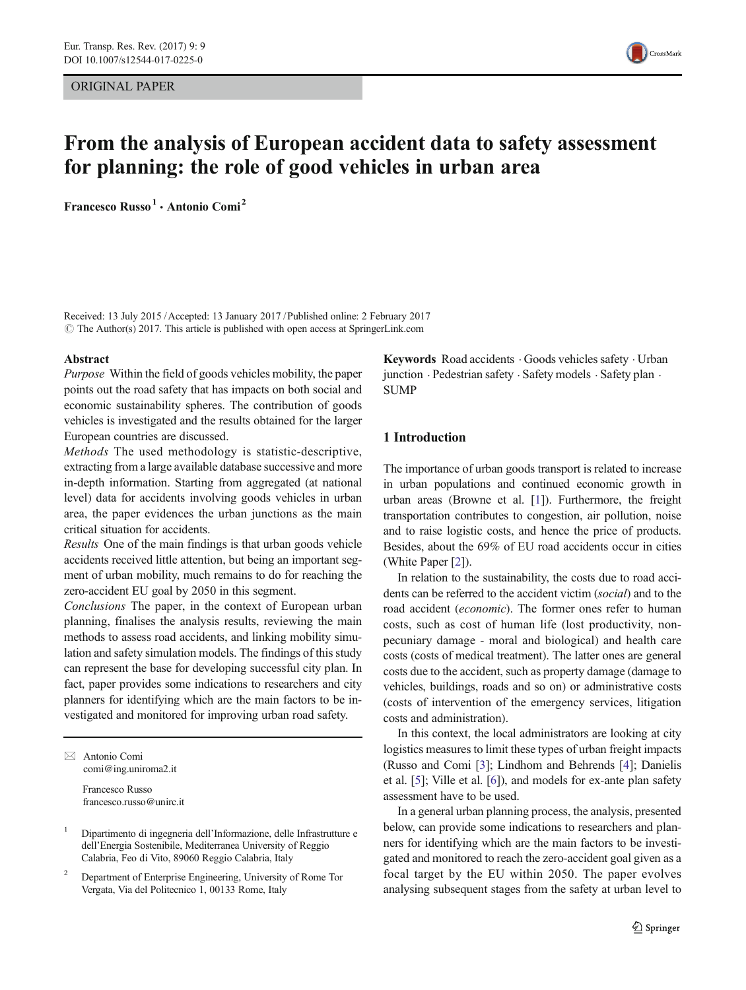ORIGINAL PAPER



# From the analysis of European accident data to safety assessment for planning: the role of good vehicles in urban area

Francesco Russo<sup>1</sup> · Antonio Comi<sup>2</sup>

Received: 13 July 2015 /Accepted: 13 January 2017 /Published online: 2 February 2017  $\odot$  The Author(s) 2017. This article is published with open access at SpringerLink.com

#### Abstract

Purpose Within the field of goods vehicles mobility, the paper points out the road safety that has impacts on both social and economic sustainability spheres. The contribution of goods vehicles is investigated and the results obtained for the larger European countries are discussed.

Methods The used methodology is statistic-descriptive, extracting from a large available database successive and more in-depth information. Starting from aggregated (at national level) data for accidents involving goods vehicles in urban area, the paper evidences the urban junctions as the main critical situation for accidents.

Results One of the main findings is that urban goods vehicle accidents received little attention, but being an important segment of urban mobility, much remains to do for reaching the zero-accident EU goal by 2050 in this segment.

Conclusions The paper, in the context of European urban planning, finalises the analysis results, reviewing the main methods to assess road accidents, and linking mobility simulation and safety simulation models. The findings of this study can represent the base for developing successful city plan. In fact, paper provides some indications to researchers and city planners for identifying which are the main factors to be investigated and monitored for improving urban road safety.

 $\boxtimes$  Antonio Comi comi@ing.uniroma2.it

> Francesco Russo francesco.russo@unirc.it

<sup>2</sup> Department of Enterprise Engineering, University of Rome Tor Vergata, Via del Politecnico 1, 00133 Rome, Italy

Keywords Road accidents . Goods vehicles safety . Urban junction · Pedestrian safety · Safety models · Safety plan · **SUMP** 

# 1 Introduction

The importance of urban goods transport is related to increase in urban populations and continued economic growth in urban areas (Browne et al. [\[1\]](#page-10-0)). Furthermore, the freight transportation contributes to congestion, air pollution, noise and to raise logistic costs, and hence the price of products. Besides, about the 69% of EU road accidents occur in cities (White Paper [\[2](#page-10-0)]).

In relation to the sustainability, the costs due to road accidents can be referred to the accident victim (social) and to the road accident (economic). The former ones refer to human costs, such as cost of human life (lost productivity, nonpecuniary damage - moral and biological) and health care costs (costs of medical treatment). The latter ones are general costs due to the accident, such as property damage (damage to vehicles, buildings, roads and so on) or administrative costs (costs of intervention of the emergency services, litigation costs and administration).

In this context, the local administrators are looking at city logistics measures to limit these types of urban freight impacts (Russo and Comi [\[3\]](#page-10-0); Lindhom and Behrends [[4\]](#page-10-0); Danielis et al. [\[5](#page-10-0)]; Ville et al. [[6\]](#page-10-0)), and models for ex-ante plan safety assessment have to be used.

In a general urban planning process, the analysis, presented below, can provide some indications to researchers and planners for identifying which are the main factors to be investigated and monitored to reach the zero-accident goal given as a focal target by the EU within 2050. The paper evolves analysing subsequent stages from the safety at urban level to

<sup>&</sup>lt;sup>1</sup> Dipartimento di ingegneria dell'Informazione, delle Infrastrutture e dell'Energia Sostenibile, Mediterranea University of Reggio Calabria, Feo di Vito, 89060 Reggio Calabria, Italy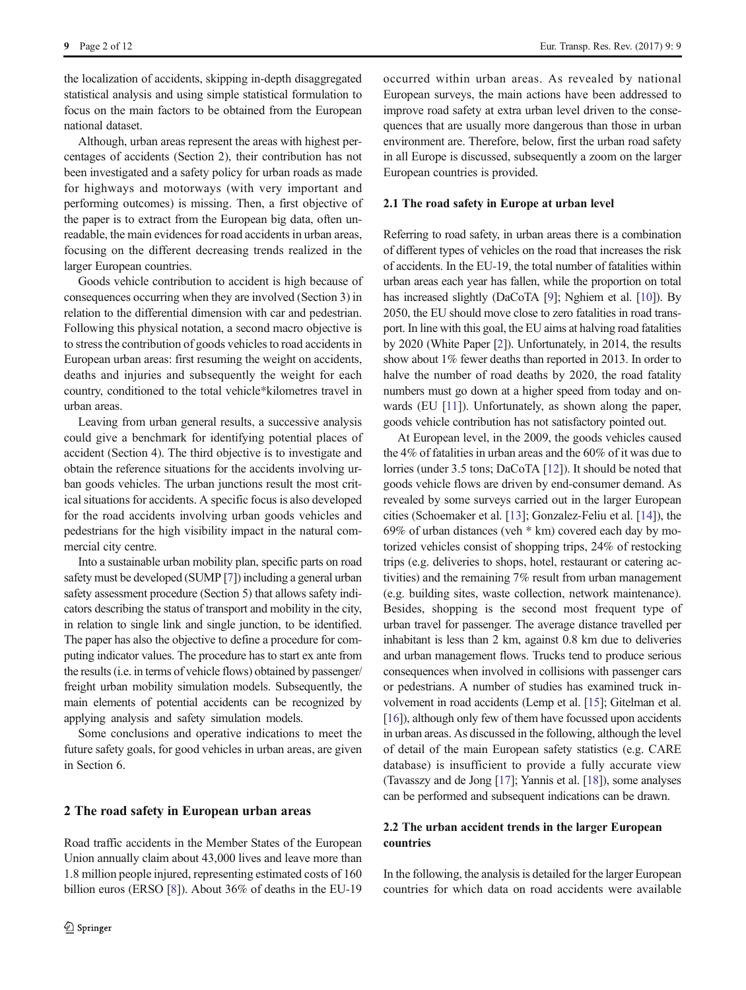the localization of accidents, skipping in-depth disaggregated statistical analysis and using simple statistical formulation to focus on the main factors to be obtained from the European national dataset.

Although, urban areas represent the areas with highest percentages of accidents (Section 2), their contribution has not been investigated and a safety policy for urban roads as made for highways and motorways (with very important and performing outcomes) is missing. Then, a first objective of the paper is to extract from the European big data, often unreadable, the main evidences for road accidents in urban areas, focusing on the different decreasing trends realized in the larger European countries.

Goods vehicle contribution to accident is high because of consequences occurring when they are involved (Section 3) in relation to the differential dimension with car and pedestrian. Following this physical notation, a second macro objective is to stress the contribution of goods vehicles to road accidents in European urban areas: first resuming the weight on accidents, deaths and injuries and subsequently the weight for each country, conditioned to the total vehicle\*kilometres travel in urban areas.

Leaving from urban general results, a successive analysis could give a benchmark for identifying potential places of accident (Section 4). The third objective is to investigate and obtain the reference situations for the accidents involving urban goods vehicles. The urban junctions result the most critical situations for accidents. A specific focus is also developed for the road accidents involving urban goods vehicles and pedestrians for the high visibility impact in the natural commercial city centre.

Into a sustainable urban mobility plan, specific parts on road safety must be developed (SUMP [\[7](#page-10-0)]) including a general urban safety assessment procedure (Section 5) that allows safety indicators describing the status of transport and mobility in the city, in relation to single link and single junction, to be identified. The paper has also the objective to define a procedure for computing indicator values. The procedure has to start ex ante from the results (i.e. in terms of vehicle flows) obtained by passenger/ freight urban mobility simulation models. Subsequently, the main elements of potential accidents can be recognized by applying analysis and safety simulation models.

Some conclusions and operative indications to meet the future safety goals, for good vehicles in urban areas, are given in Section 6.

# 2 The road safety in European urban areas

Road traffic accidents in the Member States of the European Union annually claim about 43,000 lives and leave more than 1.8 million people injured, representing estimated costs of 160 billion euros (ERSO [\[8](#page-10-0)]). About 36% of deaths in the EU-19 occurred within urban areas. As revealed by national European surveys, the main actions have been addressed to improve road safety at extra urban level driven to the consequences that are usually more dangerous than those in urban environment are. Therefore, below, first the urban road safety in all Europe is discussed, subsequently a zoom on the larger European countries is provided.

### 2.1 The road safety in Europe at urban level

Referring to road safety, in urban areas there is a combination of different types of vehicles on the road that increases the risk of accidents. In the EU-19, the total number of fatalities within urban areas each year has fallen, while the proportion on total has increased slightly (DaCoTA [\[9](#page-10-0)]; Nghiem et al. [\[10\]](#page-10-0)). By 2050, the EU should move close to zero fatalities in road transport. In line with this goal, the EU aims at halving road fatalities by 2020 (White Paper [\[2\]](#page-10-0)). Unfortunately, in 2014, the results show about 1% fewer deaths than reported in 2013. In order to halve the number of road deaths by 2020, the road fatality numbers must go down at a higher speed from today and on-wards (EU [\[11\]](#page-10-0)). Unfortunately, as shown along the paper, goods vehicle contribution has not satisfactory pointed out.

At European level, in the 2009, the goods vehicles caused the 4% of fatalities in urban areas and the 60% of it was due to lorries (under 3.5 tons; DaCoTA [[12\]](#page-10-0)). It should be noted that goods vehicle flows are driven by end-consumer demand. As revealed by some surveys carried out in the larger European cities (Schoemaker et al. [[13\]](#page-10-0); Gonzalez-Feliu et al. [\[14](#page-10-0)]), the 69% of urban distances (veh \* km) covered each day by motorized vehicles consist of shopping trips, 24% of restocking trips (e.g. deliveries to shops, hotel, restaurant or catering activities) and the remaining 7% result from urban management (e.g. building sites, waste collection, network maintenance). Besides, shopping is the second most frequent type of urban travel for passenger. The average distance travelled per inhabitant is less than 2 km, against 0.8 km due to deliveries and urban management flows. Trucks tend to produce serious consequences when involved in collisions with passenger cars or pedestrians. A number of studies has examined truck involvement in road accidents (Lemp et al. [\[15](#page-10-0)]; Gitelman et al. [\[16\]](#page-10-0)), although only few of them have focussed upon accidents in urban areas. As discussed in the following, although the level of detail of the main European safety statistics (e.g. CARE database) is insufficient to provide a fully accurate view (Tavasszy and de Jong [\[17\]](#page-10-0); Yannis et al. [[18](#page-10-0)]), some analyses can be performed and subsequent indications can be drawn.

# 2.2 The urban accident trends in the larger European countries

In the following, the analysis is detailed for the larger European countries for which data on road accidents were available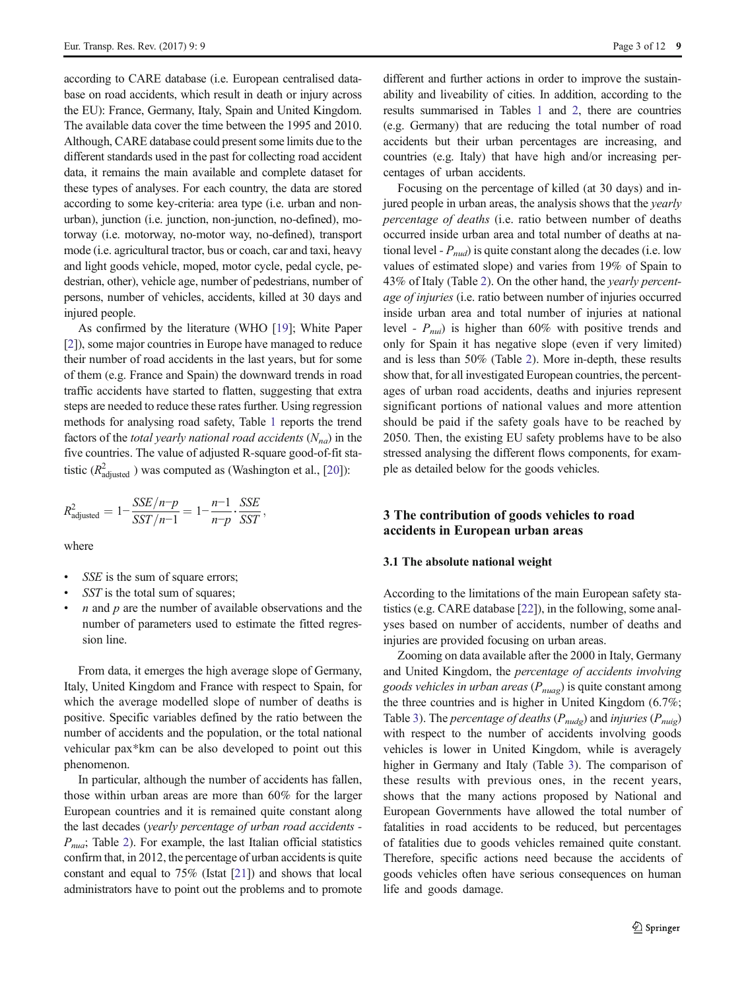according to CARE database (i.e. European centralised database on road accidents, which result in death or injury across the EU): France, Germany, Italy, Spain and United Kingdom. The available data cover the time between the 1995 and 2010. Although, CARE database could present some limits due to the different standards used in the past for collecting road accident data, it remains the main available and complete dataset for these types of analyses. For each country, the data are stored according to some key-criteria: area type (i.e. urban and nonurban), junction (i.e. junction, non-junction, no-defined), motorway (i.e. motorway, no-motor way, no-defined), transport mode (i.e. agricultural tractor, bus or coach, car and taxi, heavy and light goods vehicle, moped, motor cycle, pedal cycle, pedestrian, other), vehicle age, number of pedestrians, number of persons, number of vehicles, accidents, killed at 30 days and injured people.

As confirmed by the literature (WHO [[19](#page-10-0)]; White Paper [\[2](#page-10-0)]), some major countries in Europe have managed to reduce their number of road accidents in the last years, but for some of them (e.g. France and Spain) the downward trends in road traffic accidents have started to flatten, suggesting that extra steps are needed to reduce these rates further. Using regression methods for analysing road safety, Table [1](#page-3-0) reports the trend factors of the *total yearly national road accidents*  $(N_{na})$  in the five countries. The value of adjusted R-square good-of-fit statistic ( $R<sup>2</sup><sub>adjusted</sub>$ ) was computed as (Washington et al., [\[20\]](#page-10-0)):

$$
R_{\text{adjusted}}^2 = 1 - \frac{SSE/n - p}{SST/n - 1} = 1 - \frac{n-1}{n-p} \cdot \frac{SSE}{SST},
$$

where

- SSE is the sum of square errors;
- SST is the total sum of squares;
- $n$  and  $p$  are the number of available observations and the number of parameters used to estimate the fitted regression line.

From data, it emerges the high average slope of Germany, Italy, United Kingdom and France with respect to Spain, for which the average modelled slope of number of deaths is positive. Specific variables defined by the ratio between the number of accidents and the population, or the total national vehicular pax\*km can be also developed to point out this phenomenon.

In particular, although the number of accidents has fallen, those within urban areas are more than 60% for the larger European countries and it is remained quite constant along the last decades (yearly percentage of urban road accidents -  $P_{\text{nu}}$ ; Table [2](#page-3-0)). For example, the last Italian official statistics confirm that, in 2012, the percentage of urban accidents is quite constant and equal to 75% (Istat [\[21](#page-10-0)]) and shows that local administrators have to point out the problems and to promote different and further actions in order to improve the sustainability and liveability of cities. In addition, according to the results summarised in Tables [1](#page-3-0) and [2,](#page-3-0) there are countries (e.g. Germany) that are reducing the total number of road accidents but their urban percentages are increasing, and countries (e.g. Italy) that have high and/or increasing percentages of urban accidents.

Focusing on the percentage of killed (at 30 days) and injured people in urban areas, the analysis shows that the *yearly* percentage of deaths (i.e. ratio between number of deaths occurred inside urban area and total number of deaths at national level -  $P_{nud}$ ) is quite constant along the decades (i.e. low values of estimated slope) and varies from 19% of Spain to 43% of Italy (Table [2\)](#page-3-0). On the other hand, the yearly percentage of injuries (i.e. ratio between number of injuries occurred inside urban area and total number of injuries at national level -  $P_{\text{nu}}$  is higher than 60% with positive trends and only for Spain it has negative slope (even if very limited) and is less than 50% (Table [2\)](#page-3-0). More in-depth, these results show that, for all investigated European countries, the percentages of urban road accidents, deaths and injuries represent significant portions of national values and more attention should be paid if the safety goals have to be reached by 2050. Then, the existing EU safety problems have to be also stressed analysing the different flows components, for example as detailed below for the goods vehicles.

# 3 The contribution of goods vehicles to road accidents in European urban areas

### 3.1 The absolute national weight

According to the limitations of the main European safety statistics (e.g. CARE database [\[22](#page-10-0)]), in the following, some analyses based on number of accidents, number of deaths and injuries are provided focusing on urban areas.

Zooming on data available after the 2000 in Italy, Germany and United Kingdom, the percentage of accidents involving goods vehicles in urban areas ( $P_{mag}$ ) is quite constant among the three countries and is higher in United Kingdom (6.7%; Table [3\)](#page-4-0). The *percentage of deaths* ( $P_{nudg}$ ) and *injuries* ( $P_{nudg}$ ) with respect to the number of accidents involving goods vehicles is lower in United Kingdom, while is averagely higher in Germany and Italy (Table [3\)](#page-4-0). The comparison of these results with previous ones, in the recent years, shows that the many actions proposed by National and European Governments have allowed the total number of fatalities in road accidents to be reduced, but percentages of fatalities due to goods vehicles remained quite constant. Therefore, specific actions need because the accidents of goods vehicles often have serious consequences on human life and goods damage.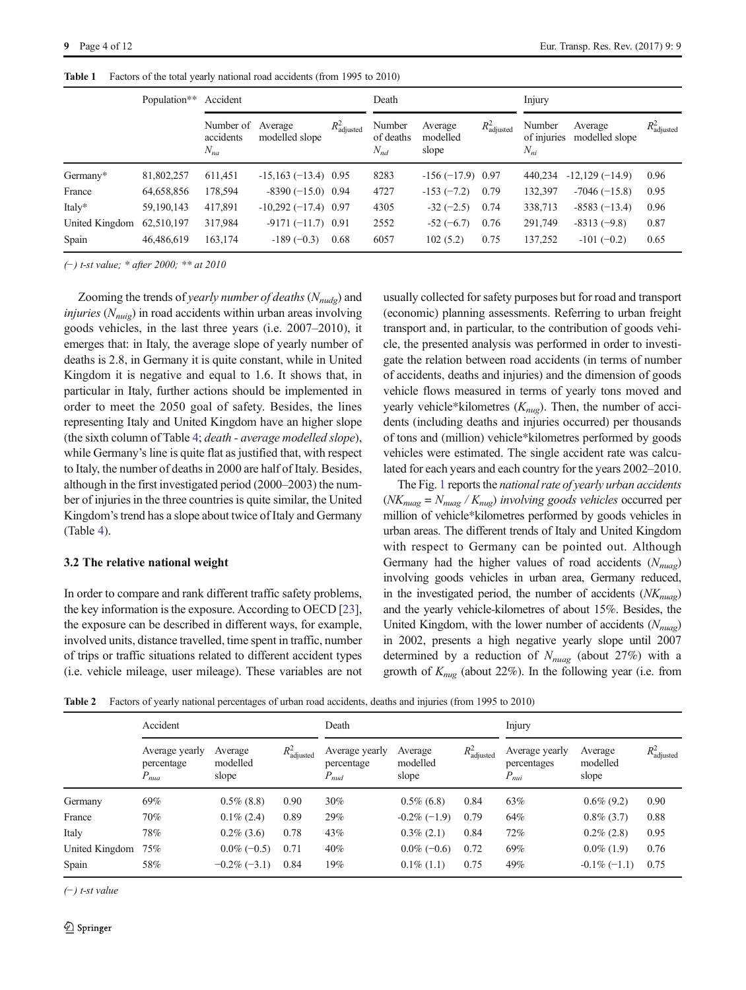|                | Population** | Accident                                   |                       |                         | Death                           |                              |                         | Injury                            |                           |                         |
|----------------|--------------|--------------------------------------------|-----------------------|-------------------------|---------------------------------|------------------------------|-------------------------|-----------------------------------|---------------------------|-------------------------|
|                |              | Number of Average<br>accidents<br>$N_{na}$ | modelled slope        | $R^2_{\text{adjusted}}$ | Number<br>of deaths<br>$N_{nd}$ | Average<br>modelled<br>slope | $R_{\text{adjusted}}^2$ | Number<br>of injuries<br>$N_{ni}$ | Average<br>modelled slope | $R^2_{\text{adjusted}}$ |
| Germany*       | 81,802,257   | 611,451                                    | $-15,163(-13.4)$ 0.95 |                         | 8283                            | $-156 (-17.9) 0.97$          |                         | 440,234                           | $-12,129(-14.9)$          | 0.96                    |
| France         | 64,658,856   | 178,594                                    | $-8390(-15.0)$ 0.94   |                         | 4727                            | $-153(-7.2)$                 | 0.79                    | 132,397                           | $-7046 (-15.8)$           | 0.95                    |
| Italy*         | 59,190,143   | 417,891                                    | $-10,292(-17.4)$ 0.97 |                         | 4305                            | $-32 (-2.5)$                 | 0.74                    | 338,713                           | $-8583(-13.4)$            | 0.96                    |
| United Kingdom | 62,510,197   | 317,984                                    | $-9171(-11.7)$ 0.91   |                         | 2552                            | $-52 (-6.7)$                 | 0.76                    | 291,749                           | $-8313(-9.8)$             | 0.87                    |
| Spain          | 46,486,619   | 163,174                                    | $-189(-0.3)$          | 0.68                    | 6057                            | 102(5.2)                     | 0.75                    | 137,252                           | $-101 (-0.2)$             | 0.65                    |

<span id="page-3-0"></span>Table 1 Factors of the total yearly national road accidents (from 1995 to 2010)

(−) t-st value; \* after 2000; \*\* at 2010

Zooming the trends of yearly number of deaths  $(N_{nude})$  and *injuries* ( $N_{\text{nuig}}$ ) in road accidents within urban areas involving goods vehicles, in the last three years (i.e. 2007–2010), it emerges that: in Italy, the average slope of yearly number of deaths is 2.8, in Germany it is quite constant, while in United Kingdom it is negative and equal to 1.6. It shows that, in particular in Italy, further actions should be implemented in order to meet the 2050 goal of safety. Besides, the lines representing Italy and United Kingdom have an higher slope (the sixth column of Table [4;](#page-4-0) death - average modelled slope), while Germany's line is quite flat as justified that, with respect to Italy, the number of deaths in 2000 are half of Italy. Besides, although in the first investigated period (2000–2003) the number of injuries in the three countries is quite similar, the United Kingdom's trend has a slope about twice of Italy and Germany (Table [4](#page-4-0)).

### 3.2 The relative national weight

In order to compare and rank different traffic safety problems, the key information is the exposure. According to OECD [[23\]](#page-10-0), the exposure can be described in different ways, for example, involved units, distance travelled, time spent in traffic, number of trips or traffic situations related to different accident types (i.e. vehicle mileage, user mileage). These variables are not usually collected for safety purposes but for road and transport (economic) planning assessments. Referring to urban freight transport and, in particular, to the contribution of goods vehicle, the presented analysis was performed in order to investigate the relation between road accidents (in terms of number of accidents, deaths and injuries) and the dimension of goods vehicle flows measured in terms of yearly tons moved and yearly vehicle\*kilometres  $(K_{nug})$ . Then, the number of accidents (including deaths and injuries occurred) per thousands of tons and (million) vehicle\*kilometres performed by goods vehicles were estimated. The single accident rate was calculated for each years and each country for the years 2002–2010.

The Fig. [1](#page-5-0) reports the national rate of yearly urban accidents  $(NK_{nuag} = N_{nuag} / K_{nug})$  involving goods vehicles occurred per million of vehicle\*kilometres performed by goods vehicles in urban areas. The different trends of Italy and United Kingdom with respect to Germany can be pointed out. Although Germany had the higher values of road accidents  $(N_{nuag})$ involving goods vehicles in urban area, Germany reduced, in the investigated period, the number of accidents  $(NK_{mag})$ and the yearly vehicle-kilometres of about 15%. Besides, the United Kingdom, with the lower number of accidents  $(N_{\text{nuao}})$ in 2002, presents a high negative yearly slope until 2007 determined by a reduction of  $N_{\text{nugg}}$  (about 27%) with a growth of  $K_{nug}$  (about 22%). In the following year (i.e. from

Table 2 Factors of yearly national percentages of urban road accidents, deaths and injuries (from 1995 to 2010)

|                | Accident                                  |                              |                         | Death                                     |                              |                         | Injury                                     |                              |                         |
|----------------|-------------------------------------------|------------------------------|-------------------------|-------------------------------------------|------------------------------|-------------------------|--------------------------------------------|------------------------------|-------------------------|
|                | Average yearly<br>percentage<br>$P_{nua}$ | Average<br>modelled<br>slope | $R^2_{\text{adjusted}}$ | Average yearly<br>percentage<br>$P_{nud}$ | Average<br>modelled<br>slope | $R^2_{\text{adjusted}}$ | Average yearly<br>percentages<br>$P_{nui}$ | Average<br>modelled<br>slope | $R^2_{\text{adjusted}}$ |
| Germany        | 69%                                       | $0.5\%$ (8.8)                | 0.90                    | 30%                                       | $0.5\%$ (6.8)                | 0.84                    | 63%                                        | $0.6\%$ (9.2)                | 0.90                    |
| France         | 70%                                       | $0.1\%$ (2.4)                | 0.89                    | 29%                                       | $-0.2\%(-1.9)$               | 0.79                    | 64%                                        | $0.8\%$ (3.7)                | 0.88                    |
| Italy          | 78%                                       | $0.2\%$ (3.6)                | 0.78                    | 43%                                       | $0.3\%$ (2.1)                | 0.84                    | 72%                                        | $0.2\%$ (2.8)                | 0.95                    |
| United Kingdom | 75%                                       | $0.0\%(-0.5)$                | 0.71                    | 40%                                       | $0.0\%(-0.6)$                | 0.72                    | 69%                                        | $0.0\%$ (1.9)                | 0.76                    |
| Spain          | 58%                                       | $-0.2\%(-3.1)$               | 0.84                    | 19%                                       | $0.1\%$ (1.1)                | 0.75                    | 49%                                        | $-0.1\%(-1.1)$               | 0.75                    |

(−) t-st value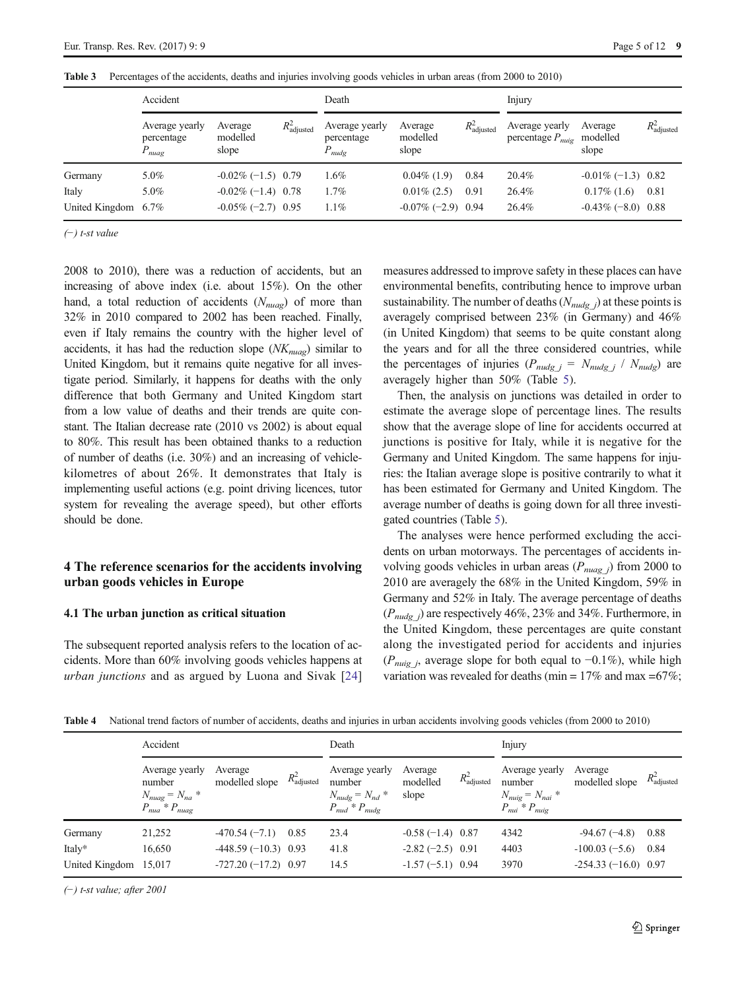|                     | Accident                                  |                              |                         | Death                                      |                              |                         | Injury                                       |                              |                         |
|---------------------|-------------------------------------------|------------------------------|-------------------------|--------------------------------------------|------------------------------|-------------------------|----------------------------------------------|------------------------------|-------------------------|
|                     | Average yearly<br>percentage<br>$P_{mag}$ | Average<br>modelled<br>slope | $R^2_{\text{adjusted}}$ | Average yearly<br>percentage<br>$P_{nudg}$ | Average<br>modelled<br>slope | $R^2_{\text{adjusted}}$ | Average yearly<br>percentage $P_{n \mu i g}$ | Average<br>modelled<br>slope | $R^2_{\text{adjusted}}$ |
| Germany             | 5.0%                                      | $-0.02\%(-1.5)$ 0.79         |                         | $1.6\%$                                    | $0.04\%$ (1.9)               | 0.84                    | 20.4%                                        | $-0.01\%(-1.3)$ 0.82         |                         |
| Italy               | 5.0%                                      | $-0.02\%(-1.4)$ 0.78         |                         | 1.7%                                       | $0.01\%$ (2.5)               | 0.91                    | 26.4%                                        | $0.17\%$ (1.6)               | 0.81                    |
| United Kingdom 6.7% |                                           | $-0.05\% (-2.7)$ 0.95        |                         | 1.1%                                       | $-0.07\%(-2.9)$ 0.94         |                         | 26.4%                                        | $-0.43\%(-8.0)$ 0.88         |                         |

<span id="page-4-0"></span>Table 3 Percentages of the accidents, deaths and injuries involving goods vehicles in urban areas (from 2000 to 2010)

(−) t-st value

2008 to 2010), there was a reduction of accidents, but an increasing of above index (i.e. about 15%). On the other hand, a total reduction of accidents  $(N_{muq})$  of more than 32% in 2010 compared to 2002 has been reached. Finally, even if Italy remains the country with the higher level of accidents, it has had the reduction slope  $(NK_{nua})$  similar to United Kingdom, but it remains quite negative for all investigate period. Similarly, it happens for deaths with the only difference that both Germany and United Kingdom start from a low value of deaths and their trends are quite constant. The Italian decrease rate (2010 vs 2002) is about equal to 80%. This result has been obtained thanks to a reduction of number of deaths (i.e. 30%) and an increasing of vehiclekilometres of about 26%. It demonstrates that Italy is implementing useful actions (e.g. point driving licences, tutor system for revealing the average speed), but other efforts should be done.

# 4 The reference scenarios for the accidents involving urban goods vehicles in Europe

# 4.1 The urban junction as critical situation

The subsequent reported analysis refers to the location of accidents. More than 60% involving goods vehicles happens at urban junctions and as argued by Luona and Sivak [[24\]](#page-10-0) measures addressed to improve safety in these places can have environmental benefits, contributing hence to improve urban sustainability. The number of deaths  $(N_{nudg}$  j at these points is averagely comprised between 23% (in Germany) and 46% (in United Kingdom) that seems to be quite constant along the years and for all the three considered countries, while the percentages of injuries ( $P_{nudg} = N_{nudg} / N_{nudg}$ ) are averagely higher than 50% (Table [5\)](#page-5-0).

Then, the analysis on junctions was detailed in order to estimate the average slope of percentage lines. The results show that the average slope of line for accidents occurred at junctions is positive for Italy, while it is negative for the Germany and United Kingdom. The same happens for injuries: the Italian average slope is positive contrarily to what it has been estimated for Germany and United Kingdom. The average number of deaths is going down for all three investigated countries (Table [5\)](#page-5-0).

The analyses were hence performed excluding the accidents on urban motorways. The percentages of accidents involving goods vehicles in urban areas ( $P_{nuag}$ ) from 2000 to 2010 are averagely the 68% in the United Kingdom, 59% in Germany and 52% in Italy. The average percentage of deaths  $(P_{nudg})$  are respectively 46%, 23% and 34%. Furthermore, in the United Kingdom, these percentages are quite constant along the investigated period for accidents and injuries ( $P_{nuig}$  j, average slope for both equal to −0.1%), while high variation was revealed for deaths (min =  $17\%$  and max =  $67\%$ ;

|  | Table 4 National trend factors of number of accidents, deaths and injuries in urban accidents involving goods vehicles (from 2000 to 2010) |  |  |  |  |  |
|--|--------------------------------------------------------------------------------------------------------------------------------------------|--|--|--|--|--|
|--|--------------------------------------------------------------------------------------------------------------------------------------------|--|--|--|--|--|

|                | Accident                                                                  |                           |                         | Death                                                                                   |                              |                         | Injury                                                                  |                           |                         |
|----------------|---------------------------------------------------------------------------|---------------------------|-------------------------|-----------------------------------------------------------------------------------------|------------------------------|-------------------------|-------------------------------------------------------------------------|---------------------------|-------------------------|
|                | Average yearly<br>number<br>$N_{nuag} = N_{na}$ *<br>$P_{mua} * P_{muaq}$ | Average<br>modelled slope | $R^2_{\text{adjusted}}$ | Average yearly<br>number<br>$N_{nudg} = N_{nd}$ *<br>$P_{\text{mud}} * P_{\text{nudg}}$ | Average<br>modelled<br>slope | $R^2_{\text{adjusted}}$ | Average yearly<br>number<br>$N_{muq} = N_{nai}$ *<br>$P_{mi} * P_{miq}$ | Average<br>modelled slope | $R^2_{\text{adjusted}}$ |
| Germany        | 21,252                                                                    | $-470.54(-7.1)$           | 0.85                    | 23.4                                                                                    | $-0.58(-1.4)$ 0.87           |                         | 4342                                                                    | $-94.67(-4.8)$            | 0.88                    |
| Italy*         | 16,650                                                                    | $-448.59(-10.3)$ 0.93     |                         | 41.8                                                                                    | $-2.82(-2.5)$ 0.91           |                         | 4403                                                                    | $-100.03(-5.6)$           | 0.84                    |
| United Kingdom | 15,017                                                                    | $-727.20(-17.2)$ 0.97     |                         | 14.5                                                                                    | $-1.57(-5.1)$ 0.94           |                         | 3970                                                                    | $-254.33(-16.0)$ 0.97     |                         |

(−) t-st value; after 2001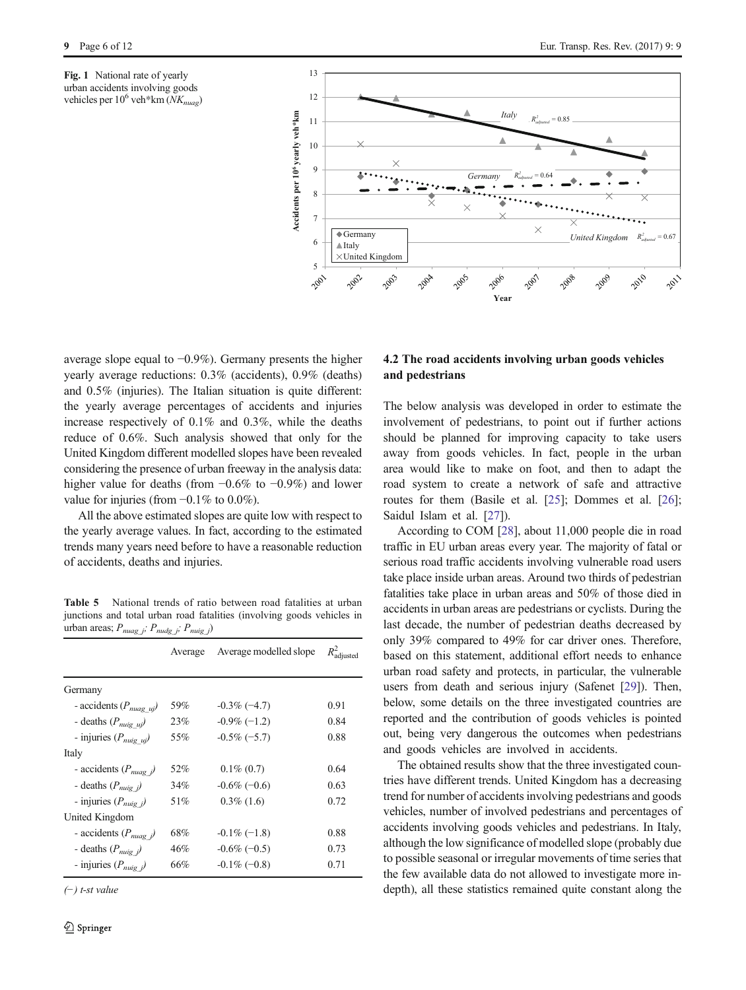<span id="page-5-0"></span>Fig. 1 National rate of yearly urban accidents involving goods vehicles per  $10^6$  veh\*km  $(NK_{nuae})$ 



average slope equal to −0.9%). Germany presents the higher yearly average reductions: 0.3% (accidents), 0.9% (deaths) and 0.5% (injuries). The Italian situation is quite different: the yearly average percentages of accidents and injuries increase respectively of 0.1% and 0.3%, while the deaths reduce of 0.6%. Such analysis showed that only for the United Kingdom different modelled slopes have been revealed considering the presence of urban freeway in the analysis data: higher value for deaths (from −0.6% to −0.9%) and lower value for injuries (from  $-0.1\%$  to 0.0%).

All the above estimated slopes are quite low with respect to the yearly average values. In fact, according to the estimated trends many years need before to have a reasonable reduction of accidents, deaths and injuries.

Table 5 National trends of ratio between road fatalities at urban junctions and total urban road fatalities (involving goods vehicles in urban areas;  $P_{nuag_j}$ ;  $P_{nuag_j}$ ;  $P_{nuig_j}$ )

|                                   | Average | Average modelled slope | $R^2_{\rm adjusted}$ |
|-----------------------------------|---------|------------------------|----------------------|
| Germany                           |         |                        |                      |
| - accidents $(P_{m u q} u)$       | 59%     | $-0.3\%$ (-4.7)        | 0.91                 |
| - deaths $(P_{m \, ig\_uj})$      | 23%     | $-0.9\%(-1.2)$         | 0.84                 |
| - injuries $(P_{m \alpha} u)$     | 55%     | $-0.5\%$ (-5.7)        | 0.88                 |
| Italy                             |         |                        |                      |
| - accidents $(P_{nuag} \)$        | 52%     | $0.1\%$ (0.7)          | 0.64                 |
| - deaths $(P_{nuig})$             | 34%     | $-0.6\%$ (-0.6)        | 0.63                 |
| - injuries $(P_{m \nu q} \rangle$ | 51%     | $0.3\%$ (1.6)          | 0.72                 |
| United Kingdom                    |         |                        |                      |
| - accidents $(P_{nuag} \)$        | 68%     | $-0.1\%(-1.8)$         | 0.88                 |
| - deaths $(P_{nuq} \)$            | 46%     | $-0.6\%$ (-0.5)        | 0.73                 |
| - injuries $(P_{miq}$ i)          | 66%     | $-0.1\%$ (-0.8)        | 0.71                 |

(−) t-st value

# 4.2 The road accidents involving urban goods vehicles and pedestrians

The below analysis was developed in order to estimate the involvement of pedestrians, to point out if further actions should be planned for improving capacity to take users away from goods vehicles. In fact, people in the urban area would like to make on foot, and then to adapt the road system to create a network of safe and attractive routes for them (Basile et al. [[25\]](#page-10-0); Dommes et al. [[26](#page-10-0)]; Saidul Islam et al. [\[27](#page-10-0)]).

According to COM [\[28](#page-10-0)], about 11,000 people die in road traffic in EU urban areas every year. The majority of fatal or serious road traffic accidents involving vulnerable road users take place inside urban areas. Around two thirds of pedestrian fatalities take place in urban areas and 50% of those died in accidents in urban areas are pedestrians or cyclists. During the last decade, the number of pedestrian deaths decreased by only 39% compared to 49% for car driver ones. Therefore, based on this statement, additional effort needs to enhance urban road safety and protects, in particular, the vulnerable users from death and serious injury (Safenet [[29](#page-10-0)]). Then, below, some details on the three investigated countries are reported and the contribution of goods vehicles is pointed out, being very dangerous the outcomes when pedestrians and goods vehicles are involved in accidents.

The obtained results show that the three investigated countries have different trends. United Kingdom has a decreasing trend for number of accidents involving pedestrians and goods vehicles, number of involved pedestrians and percentages of accidents involving goods vehicles and pedestrians. In Italy, although the low significance of modelled slope (probably due to possible seasonal or irregular movements of time series that the few available data do not allowed to investigate more indepth), all these statistics remained quite constant along the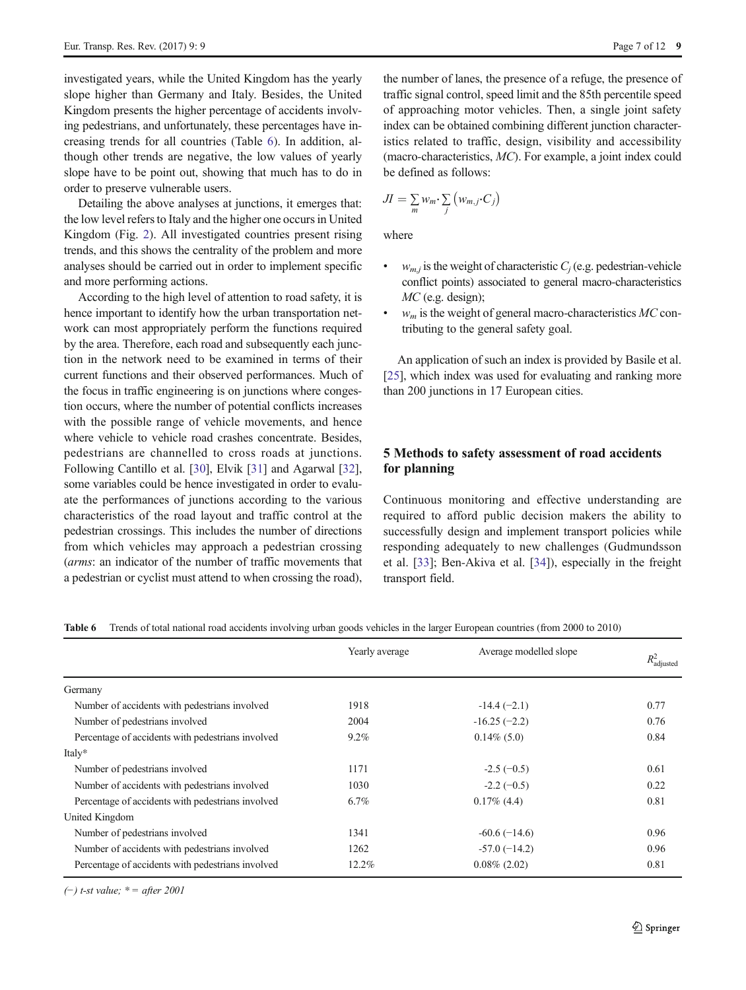investigated years, while the United Kingdom has the yearly slope higher than Germany and Italy. Besides, the United Kingdom presents the higher percentage of accidents involving pedestrians, and unfortunately, these percentages have increasing trends for all countries (Table 6). In addition, although other trends are negative, the low values of yearly slope have to be point out, showing that much has to do in order to preserve vulnerable users.

Detailing the above analyses at junctions, it emerges that: the low level refers to Italy and the higher one occurs in United Kingdom (Fig. [2](#page-7-0)). All investigated countries present rising trends, and this shows the centrality of the problem and more analyses should be carried out in order to implement specific and more performing actions.

According to the high level of attention to road safety, it is hence important to identify how the urban transportation network can most appropriately perform the functions required by the area. Therefore, each road and subsequently each junction in the network need to be examined in terms of their current functions and their observed performances. Much of the focus in traffic engineering is on junctions where congestion occurs, where the number of potential conflicts increases with the possible range of vehicle movements, and hence where vehicle to vehicle road crashes concentrate. Besides, pedestrians are channelled to cross roads at junctions. Following Cantillo et al. [\[30](#page-11-0)], Elvik [\[31](#page-11-0)] and Agarwal [[32\]](#page-11-0), some variables could be hence investigated in order to evaluate the performances of junctions according to the various characteristics of the road layout and traffic control at the pedestrian crossings. This includes the number of directions from which vehicles may approach a pedestrian crossing (arms: an indicator of the number of traffic movements that a pedestrian or cyclist must attend to when crossing the road),

the number of lanes, the presence of a refuge, the presence of traffic signal control, speed limit and the 85th percentile speed of approaching motor vehicles. Then, a single joint safety index can be obtained combining different junction characteristics related to traffic, design, visibility and accessibility (macro-characteristics, MC). For example, a joint index could be defined as follows:

$$
JI = \sum_{m} w_m \cdot \sum_{j} \left( w_{m,j} \cdot C_j \right)
$$

where

- $w_{m,i}$  is the weight of characteristic  $C_i$  (e.g. pedestrian-vehicle conflict points) associated to general macro-characteristics MC (e.g. design);
- $\bullet$  w<sub>m</sub> is the weight of general macro-characteristics MC contributing to the general safety goal.

An application of such an index is provided by Basile et al. [\[25](#page-10-0)], which index was used for evaluating and ranking more than 200 junctions in 17 European cities.

# 5 Methods to safety assessment of road accidents for planning

Continuous monitoring and effective understanding are required to afford public decision makers the ability to successfully design and implement transport policies while responding adequately to new challenges (Gudmundsson et al. [\[33](#page-11-0)]; Ben-Akiva et al. [\[34](#page-11-0)]), especially in the freight transport field.

Table 6 Trends of total national road accidents involving urban goods vehicles in the larger European countries (from 2000 to 2010)

|                                                   | Yearly average | Average modelled slope | $R^2_{\text{adjusted}}$ |
|---------------------------------------------------|----------------|------------------------|-------------------------|
|                                                   |                |                        |                         |
| Germany                                           |                |                        |                         |
| Number of accidents with pedestrians involved     | 1918           | $-14.4(-2.1)$          | 0.77                    |
| Number of pedestrians involved                    | 2004           | $-16.25(-2.2)$         | 0.76                    |
| Percentage of accidents with pedestrians involved | $9.2\%$        | $0.14\%$ (5.0)         | 0.84                    |
| Italy*                                            |                |                        |                         |
| Number of pedestrians involved                    | 1171           | $-2.5(-0.5)$           | 0.61                    |
| Number of accidents with pedestrians involved     | 1030           | $-2.2(-0.5)$           | 0.22                    |
| Percentage of accidents with pedestrians involved | $6.7\%$        | $0.17\%$ (4.4)         | 0.81                    |
| United Kingdom                                    |                |                        |                         |
| Number of pedestrians involved                    | 1341           | $-60.6(-14.6)$         | 0.96                    |
| Number of accidents with pedestrians involved     | 1262           | $-57.0(-14.2)$         | 0.96                    |
| Percentage of accidents with pedestrians involved | 12.2%          | $0.08\%$ (2.02)        | 0.81                    |

(−) t-st value;  $* =$  after 2001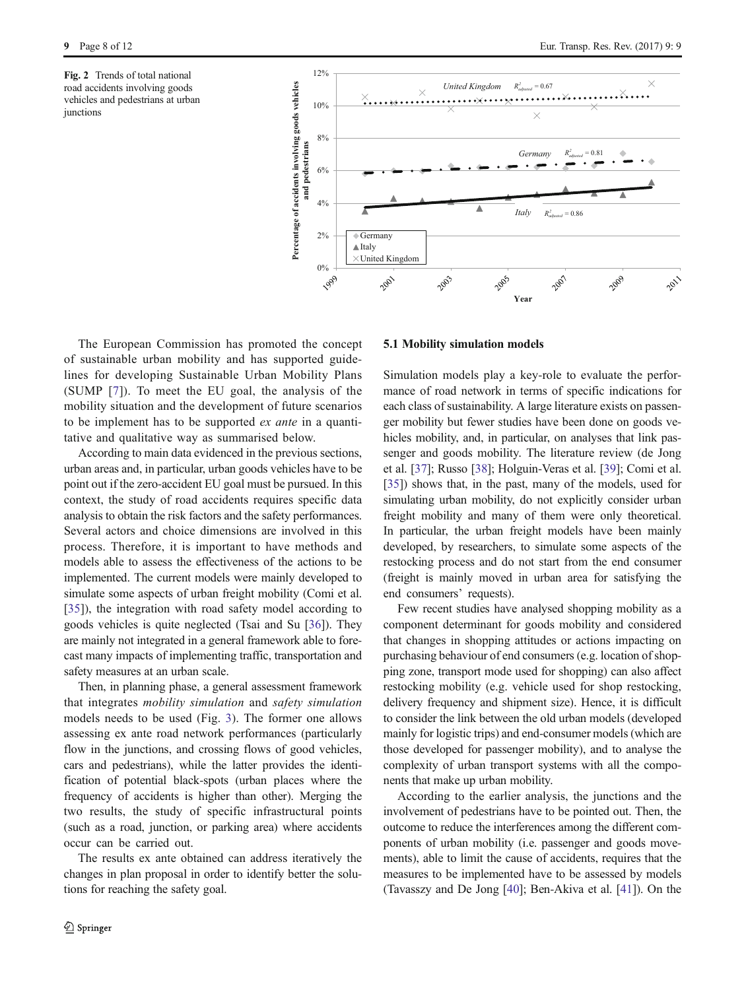<span id="page-7-0"></span>Fig. 2 Trends of total national road accidents involving goods vehicles and pedestrians at urban iunctions



The European Commission has promoted the concept of sustainable urban mobility and has supported guidelines for developing Sustainable Urban Mobility Plans (SUMP [[7](#page-10-0)]). To meet the EU goal, the analysis of the mobility situation and the development of future scenarios to be implement has to be supported ex ante in a quantitative and qualitative way as summarised below.

According to main data evidenced in the previous sections, urban areas and, in particular, urban goods vehicles have to be point out if the zero-accident EU goal must be pursued. In this context, the study of road accidents requires specific data analysis to obtain the risk factors and the safety performances. Several actors and choice dimensions are involved in this process. Therefore, it is important to have methods and models able to assess the effectiveness of the actions to be implemented. The current models were mainly developed to simulate some aspects of urban freight mobility (Comi et al. [\[35](#page-11-0)]), the integration with road safety model according to goods vehicles is quite neglected (Tsai and Su [[36](#page-11-0)]). They are mainly not integrated in a general framework able to forecast many impacts of implementing traffic, transportation and safety measures at an urban scale.

Then, in planning phase, a general assessment framework that integrates mobility simulation and safety simulation models needs to be used (Fig. [3](#page-8-0)). The former one allows assessing ex ante road network performances (particularly flow in the junctions, and crossing flows of good vehicles, cars and pedestrians), while the latter provides the identification of potential black-spots (urban places where the frequency of accidents is higher than other). Merging the two results, the study of specific infrastructural points (such as a road, junction, or parking area) where accidents occur can be carried out.

The results ex ante obtained can address iteratively the changes in plan proposal in order to identify better the solutions for reaching the safety goal.

### 5.1 Mobility simulation models

Simulation models play a key-role to evaluate the performance of road network in terms of specific indications for each class of sustainability. A large literature exists on passenger mobility but fewer studies have been done on goods vehicles mobility, and, in particular, on analyses that link passenger and goods mobility. The literature review (de Jong et al. [\[37\]](#page-11-0); Russo [\[38](#page-11-0)]; Holguin-Veras et al. [\[39\]](#page-11-0); Comi et al. [\[35](#page-11-0)]) shows that, in the past, many of the models, used for simulating urban mobility, do not explicitly consider urban freight mobility and many of them were only theoretical. In particular, the urban freight models have been mainly developed, by researchers, to simulate some aspects of the restocking process and do not start from the end consumer (freight is mainly moved in urban area for satisfying the end consumers' requests).

Few recent studies have analysed shopping mobility as a component determinant for goods mobility and considered that changes in shopping attitudes or actions impacting on purchasing behaviour of end consumers (e.g. location of shopping zone, transport mode used for shopping) can also affect restocking mobility (e.g. vehicle used for shop restocking, delivery frequency and shipment size). Hence, it is difficult to consider the link between the old urban models (developed mainly for logistic trips) and end-consumer models (which are those developed for passenger mobility), and to analyse the complexity of urban transport systems with all the components that make up urban mobility.

According to the earlier analysis, the junctions and the involvement of pedestrians have to be pointed out. Then, the outcome to reduce the interferences among the different components of urban mobility (i.e. passenger and goods movements), able to limit the cause of accidents, requires that the measures to be implemented have to be assessed by models (Tavasszy and De Jong [[40\]](#page-11-0); Ben-Akiva et al. [\[41](#page-11-0)]). On the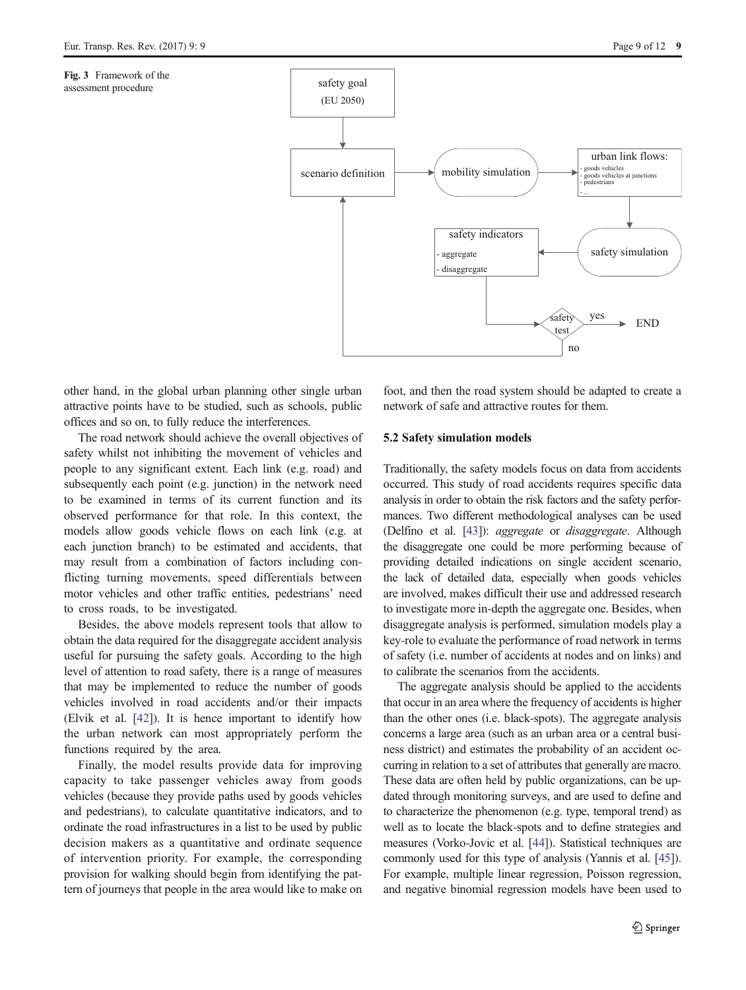<span id="page-8-0"></span>Fig. 3 Framework of the assessment procedure



other hand, in the global urban planning other single urban attractive points have to be studied, such as schools, public offices and so on, to fully reduce the interferences.

The road network should achieve the overall objectives of safety whilst not inhibiting the movement of vehicles and people to any significant extent. Each link (e.g. road) and subsequently each point (e.g. junction) in the network need to be examined in terms of its current function and its observed performance for that role. In this context, the models allow goods vehicle flows on each link (e.g. at each junction branch) to be estimated and accidents, that may result from a combination of factors including conflicting turning movements, speed differentials between motor vehicles and other traffic entities, pedestrians' need to cross roads, to be investigated.

Besides, the above models represent tools that allow to obtain the data required for the disaggregate accident analysis useful for pursuing the safety goals. According to the high level of attention to road safety, there is a range of measures that may be implemented to reduce the number of goods vehicles involved in road accidents and/or their impacts (Elvik et al. [\[42](#page-11-0)]). It is hence important to identify how the urban network can most appropriately perform the functions required by the area.

Finally, the model results provide data for improving capacity to take passenger vehicles away from goods vehicles (because they provide paths used by goods vehicles and pedestrians), to calculate quantitative indicators, and to ordinate the road infrastructures in a list to be used by public decision makers as a quantitative and ordinate sequence of intervention priority. For example, the corresponding provision for walking should begin from identifying the pattern of journeys that people in the area would like to make on

foot, and then the road system should be adapted to create a network of safe and attractive routes for them.

### 5.2 Safety simulation models

Traditionally, the safety models focus on data from accidents occurred. This study of road accidents requires specific data analysis in order to obtain the risk factors and the safety performances. Two different methodological analyses can be used (Delfino et al. [\[43](#page-11-0)]): aggregate or disaggregate. Although the disaggregate one could be more performing because of providing detailed indications on single accident scenario, the lack of detailed data, especially when goods vehicles are involved, makes difficult their use and addressed research to investigate more in-depth the aggregate one. Besides, when disaggregate analysis is performed, simulation models play a key-role to evaluate the performance of road network in terms of safety (i.e. number of accidents at nodes and on links) and to calibrate the scenarios from the accidents.

The aggregate analysis should be applied to the accidents that occur in an area where the frequency of accidents is higher than the other ones (i.e. black-spots). The aggregate analysis concerns a large area (such as an urban area or a central business district) and estimates the probability of an accident occurring in relation to a set of attributes that generally are macro. These data are often held by public organizations, can be updated through monitoring surveys, and are used to define and to characterize the phenomenon (e.g. type, temporal trend) as well as to locate the black-spots and to define strategies and measures (Vorko-Jovic et al. [\[44\]](#page-11-0)). Statistical techniques are commonly used for this type of analysis (Yannis et al. [\[45\]](#page-11-0)). For example, multiple linear regression, Poisson regression, and negative binomial regression models have been used to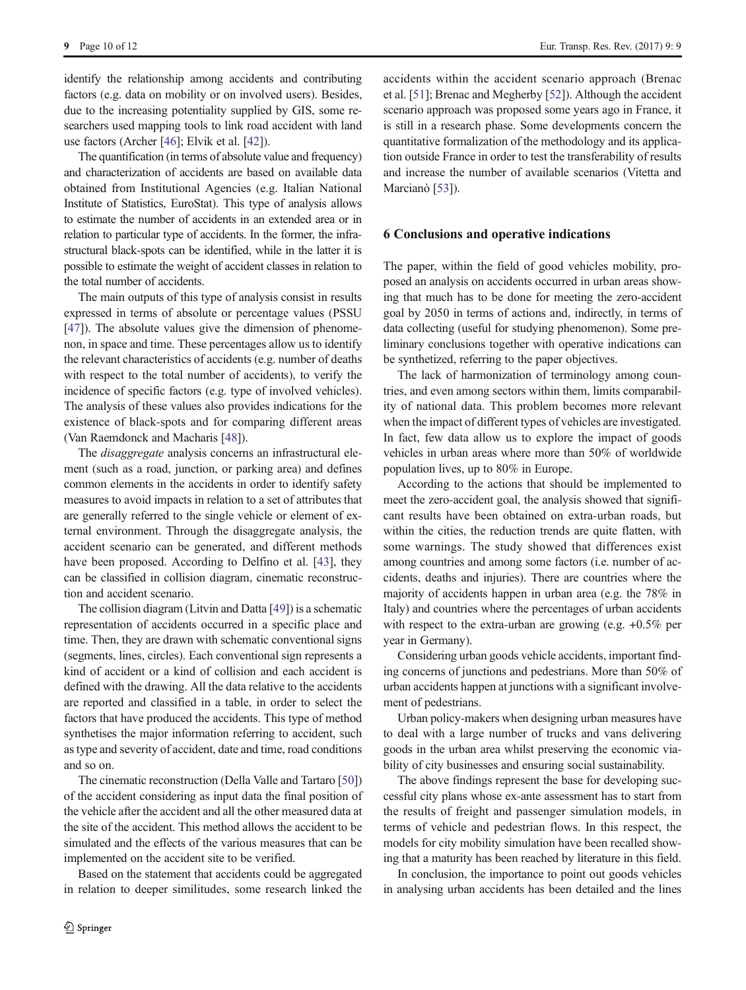identify the relationship among accidents and contributing factors (e.g. data on mobility or on involved users). Besides, due to the increasing potentiality supplied by GIS, some researchers used mapping tools to link road accident with land use factors (Archer [\[46\]](#page-11-0); Elvik et al. [\[42](#page-11-0)]).

The quantification (in terms of absolute value and frequency) and characterization of accidents are based on available data obtained from Institutional Agencies (e.g. Italian National Institute of Statistics, EuroStat). This type of analysis allows to estimate the number of accidents in an extended area or in relation to particular type of accidents. In the former, the infrastructural black-spots can be identified, while in the latter it is possible to estimate the weight of accident classes in relation to the total number of accidents.

The main outputs of this type of analysis consist in results expressed in terms of absolute or percentage values (PSSU [\[47\]](#page-11-0)). The absolute values give the dimension of phenomenon, in space and time. These percentages allow us to identify the relevant characteristics of accidents (e.g. number of deaths with respect to the total number of accidents), to verify the incidence of specific factors (e.g. type of involved vehicles). The analysis of these values also provides indications for the existence of black-spots and for comparing different areas (Van Raemdonck and Macharis [[48](#page-11-0)]).

The *disaggregate* analysis concerns an infrastructural element (such as a road, junction, or parking area) and defines common elements in the accidents in order to identify safety measures to avoid impacts in relation to a set of attributes that are generally referred to the single vehicle or element of external environment. Through the disaggregate analysis, the accident scenario can be generated, and different methods have been proposed. According to Delfino et al. [\[43](#page-11-0)], they can be classified in collision diagram, cinematic reconstruction and accident scenario.

The collision diagram (Litvin and Datta [\[49\]](#page-11-0)) is a schematic representation of accidents occurred in a specific place and time. Then, they are drawn with schematic conventional signs (segments, lines, circles). Each conventional sign represents a kind of accident or a kind of collision and each accident is defined with the drawing. All the data relative to the accidents are reported and classified in a table, in order to select the factors that have produced the accidents. This type of method synthetises the major information referring to accident, such as type and severity of accident, date and time, road conditions and so on.

The cinematic reconstruction (Della Valle and Tartaro [\[50\]](#page-11-0)) of the accident considering as input data the final position of the vehicle after the accident and all the other measured data at the site of the accident. This method allows the accident to be simulated and the effects of the various measures that can be implemented on the accident site to be verified.

Based on the statement that accidents could be aggregated in relation to deeper similitudes, some research linked the accidents within the accident scenario approach (Brenac et al. [[51\]](#page-11-0); Brenac and Megherby [[52](#page-11-0)]). Although the accident scenario approach was proposed some years ago in France, it is still in a research phase. Some developments concern the quantitative formalization of the methodology and its application outside France in order to test the transferability of results and increase the number of available scenarios (Vitetta and Marcianò [\[53\]](#page-11-0)).

### 6 Conclusions and operative indications

The paper, within the field of good vehicles mobility, proposed an analysis on accidents occurred in urban areas showing that much has to be done for meeting the zero-accident goal by 2050 in terms of actions and, indirectly, in terms of data collecting (useful for studying phenomenon). Some preliminary conclusions together with operative indications can be synthetized, referring to the paper objectives.

The lack of harmonization of terminology among countries, and even among sectors within them, limits comparability of national data. This problem becomes more relevant when the impact of different types of vehicles are investigated. In fact, few data allow us to explore the impact of goods vehicles in urban areas where more than 50% of worldwide population lives, up to 80% in Europe.

According to the actions that should be implemented to meet the zero-accident goal, the analysis showed that significant results have been obtained on extra-urban roads, but within the cities, the reduction trends are quite flatten, with some warnings. The study showed that differences exist among countries and among some factors (i.e. number of accidents, deaths and injuries). There are countries where the majority of accidents happen in urban area (e.g. the 78% in Italy) and countries where the percentages of urban accidents with respect to the extra-urban are growing (e.g.  $+0.5\%$  per year in Germany).

Considering urban goods vehicle accidents, important finding concerns of junctions and pedestrians. More than 50% of urban accidents happen at junctions with a significant involvement of pedestrians.

Urban policy-makers when designing urban measures have to deal with a large number of trucks and vans delivering goods in the urban area whilst preserving the economic viability of city businesses and ensuring social sustainability.

The above findings represent the base for developing successful city plans whose ex-ante assessment has to start from the results of freight and passenger simulation models, in terms of vehicle and pedestrian flows. In this respect, the models for city mobility simulation have been recalled showing that a maturity has been reached by literature in this field.

In conclusion, the importance to point out goods vehicles in analysing urban accidents has been detailed and the lines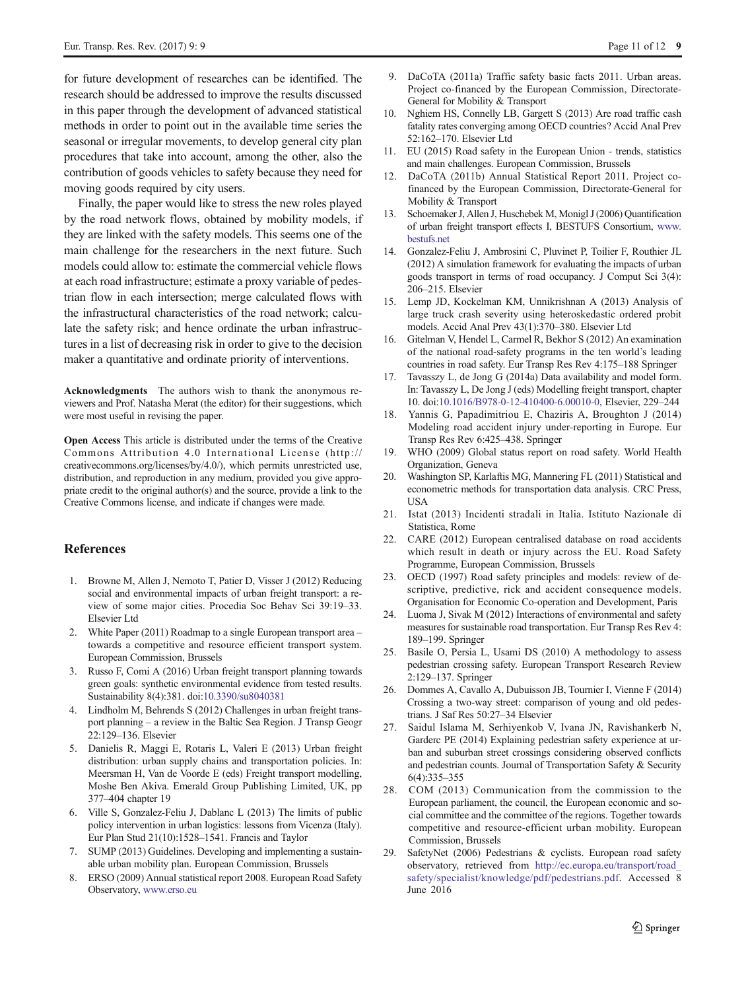<span id="page-10-0"></span>for future development of researches can be identified. The research should be addressed to improve the results discussed in this paper through the development of advanced statistical methods in order to point out in the available time series the seasonal or irregular movements, to develop general city plan procedures that take into account, among the other, also the contribution of goods vehicles to safety because they need for moving goods required by city users.

Finally, the paper would like to stress the new roles played by the road network flows, obtained by mobility models, if they are linked with the safety models. This seems one of the main challenge for the researchers in the next future. Such models could allow to: estimate the commercial vehicle flows at each road infrastructure; estimate a proxy variable of pedestrian flow in each intersection; merge calculated flows with the infrastructural characteristics of the road network; calculate the safety risk; and hence ordinate the urban infrastructures in a list of decreasing risk in order to give to the decision maker a quantitative and ordinate priority of interventions.

Acknowledgments The authors wish to thank the anonymous reviewers and Prof. Natasha Merat (the editor) for their suggestions, which were most useful in revising the paper.

Open Access This article is distributed under the terms of the Creative Commons Attribution 4.0 International License (http:// creativecommons.org/licenses/by/4.0/), which permits unrestricted use, distribution, and reproduction in any medium, provided you give appropriate credit to the original author(s) and the source, provide a link to the Creative Commons license, and indicate if changes were made.

# References

- 1. Browne M, Allen J, Nemoto T, Patier D, Visser J (2012) Reducing social and environmental impacts of urban freight transport: a review of some major cities. Procedia Soc Behav Sci 39:19–33. Elsevier Ltd
- 2. White Paper (2011) Roadmap to a single European transport area towards a competitive and resource efficient transport system. European Commission, Brussels
- 3. Russo F, Comi A (2016) Urban freight transport planning towards green goals: synthetic environmental evidence from tested results. Sustainability 8(4):381. doi[:10.3390/su8040381](http://dx.doi.org/10.3390/su8040381)
- 4. Lindholm M, Behrends S (2012) Challenges in urban freight transport planning – a review in the Baltic Sea Region. J Transp Geogr 22:129–136. Elsevier
- 5. Danielis R, Maggi E, Rotaris L, Valeri E (2013) Urban freight distribution: urban supply chains and transportation policies. In: Meersman H, Van de Voorde E (eds) Freight transport modelling, Moshe Ben Akiva. Emerald Group Publishing Limited, UK, pp 377–404 chapter 19
- 6. Ville S, Gonzalez-Feliu J, Dablanc L (2013) The limits of public policy intervention in urban logistics: lessons from Vicenza (Italy). Eur Plan Stud 21(10):1528–1541. Francis and Taylor
- 7. SUMP (2013) Guidelines. Developing and implementing a sustainable urban mobility plan. European Commission, Brussels
- 8. ERSO (2009) Annual statistical report 2008. European Road Safety Observatory, [www.erso.eu](http://dx.doi.org/http://www.erso.eu/)
- 9. DaCoTA (2011a) Traffic safety basic facts 2011. Urban areas. Project co-financed by the European Commission, Directorate-General for Mobility & Transport
- 10. Nghiem HS, Connelly LB, Gargett S (2013) Are road traffic cash fatality rates converging among OECD countries? Accid Anal Prev 52:162–170. Elsevier Ltd
- 11. EU (2015) Road safety in the European Union trends, statistics and main challenges. European Commission, Brussels
- 12. DaCoTA (2011b) Annual Statistical Report 2011. Project cofinanced by the European Commission, Directorate-General for Mobility & Transport
- 13. Schoemaker J, Allen J, Huschebek M, Monigl J (2006) Quantification of urban freight transport effects I, BESTUFS Consortium, [www.](http://dx.doi.org/http://www.bestufs.net/) [bestufs.net](http://dx.doi.org/http://www.bestufs.net/)
- 14. Gonzalez-Feliu J, Ambrosini C, Pluvinet P, Toilier F, Routhier JL (2012) A simulation framework for evaluating the impacts of urban goods transport in terms of road occupancy. J Comput Sci 3(4): 206–215. Elsevier
- 15. Lemp JD, Kockelman KM, Unnikrishnan A (2013) Analysis of large truck crash severity using heteroskedastic ordered probit models. Accid Anal Prev 43(1):370–380. Elsevier Ltd
- 16. Gitelman V, Hendel L, Carmel R, Bekhor S (2012) An examination of the national road-safety programs in the ten world's leading countries in road safety. Eur Transp Res Rev 4:175–188 Springer
- 17. Tavasszy L, de Jong G (2014a) Data availability and model form. In: Tavasszy L, De Jong J (eds) Modelling freight transport, chapter 10. doi[:10.1016/B978-0-12-410400-6.00010-0,](http://dx.doi.org/10.1016/B978-0-12-410400-6.00010-0) Elsevier, 229–244
- 18. Yannis G, Papadimitriou E, Chaziris A, Broughton J (2014) Modeling road accident injury under-reporting in Europe. Eur Transp Res Rev 6:425–438. Springer
- 19. WHO (2009) Global status report on road safety. World Health Organization, Geneva
- 20. Washington SP, Karlaftis MG, Mannering FL (2011) Statistical and econometric methods for transportation data analysis. CRC Press, **USA**
- 21. Istat (2013) Incidenti stradali in Italia. Istituto Nazionale di Statistica, Rome
- 22. CARE (2012) European centralised database on road accidents which result in death or injury across the EU. Road Safety Programme, European Commission, Brussels
- 23. OECD (1997) Road safety principles and models: review of descriptive, predictive, rick and accident consequence models. Organisation for Economic Co-operation and Development, Paris
- 24. Luoma J, Sivak M (2012) Interactions of environmental and safety measures for sustainable road transportation. Eur Transp Res Rev 4: 189–199. Springer
- 25. Basile O, Persia L, Usami DS (2010) A methodology to assess pedestrian crossing safety. European Transport Research Review 2:129–137. Springer
- 26. Dommes A, Cavallo A, Dubuisson JB, Tournier I, Vienne F (2014) Crossing a two-way street: comparison of young and old pedestrians. J Saf Res 50:27–34 Elsevier
- 27. Saidul Islama M, Serhiyenkob V, Ivana JN, Ravishankerb N, Garderc PE (2014) Explaining pedestrian safety experience at urban and suburban street crossings considering observed conflicts and pedestrian counts. Journal of Transportation Safety & Security 6(4):335–355
- 28. COM (2013) Communication from the commission to the European parliament, the council, the European economic and social committee and the committee of the regions. Together towards competitive and resource-efficient urban mobility. European Commission, Brussels
- 29. SafetyNet (2006) Pedestrians & cyclists. European road safety observatory, retrieved from [http://ec.europa.eu/transport/road\\_](http://dx.doi.org/http://ec.europa.eu/transport/road_safety/specialist/knowledge/pdf/pedestrians.pdf) [safety/specialist/knowledge/pdf/pedestrians.pdf](http://dx.doi.org/http://ec.europa.eu/transport/road_safety/specialist/knowledge/pdf/pedestrians.pdf). Accessed 8 June 2016